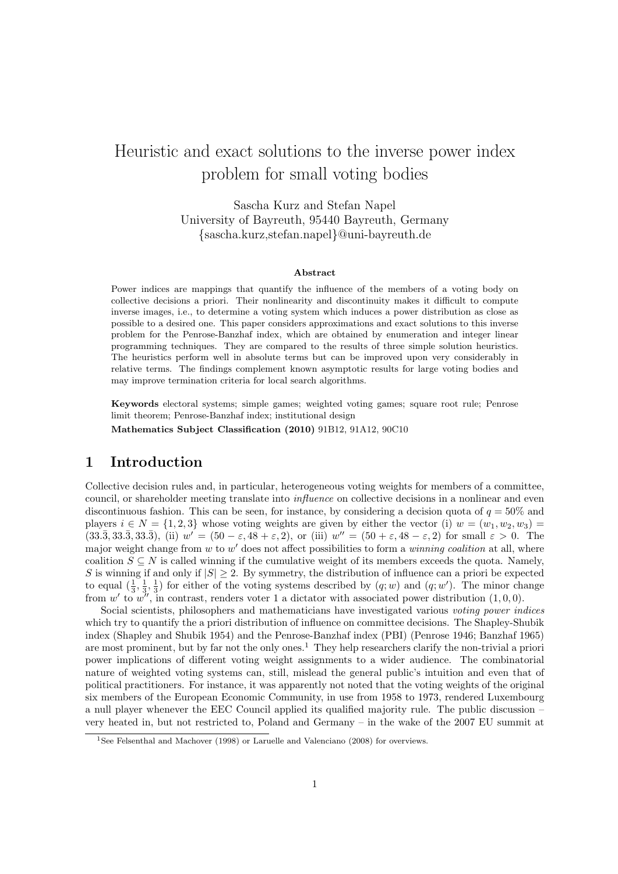# Heuristic and exact solutions to the inverse power index problem for small voting bodies

Sascha Kurz and Stefan Napel University of Bayreuth, 95440 Bayreuth, Germany {sascha.kurz,stefan.napel}@uni-bayreuth.de

#### Abstract

Power indices are mappings that quantify the influence of the members of a voting body on collective decisions a priori. Their nonlinearity and discontinuity makes it difficult to compute inverse images, i.e., to determine a voting system which induces a power distribution as close as possible to a desired one. This paper considers approximations and exact solutions to this inverse problem for the Penrose-Banzhaf index, which are obtained by enumeration and integer linear programming techniques. They are compared to the results of three simple solution heuristics. The heuristics perform well in absolute terms but can be improved upon very considerably in relative terms. The findings complement known asymptotic results for large voting bodies and may improve termination criteria for local search algorithms.

Keywords electoral systems; simple games; weighted voting games; square root rule; Penrose limit theorem; Penrose-Banzhaf index; institutional design

Mathematics Subject Classification (2010) 91B12, 91A12, 90C10

# 1 Introduction

Collective decision rules and, in particular, heterogeneous voting weights for members of a committee, council, or shareholder meeting translate into *influence* on collective decisions in a nonlinear and even discontinuous fashion. This can be seen, for instance, by considering a decision quota of  $q = 50\%$  and players  $i \in N = \{1, 2, 3\}$  whose voting weights are given by either the vector (i)  $w = (w_1, w_2, w_3)$  $(33.\overline{3}, 33.\overline{3}, 33.\overline{3}),$  (ii)  $w' = (50 - \varepsilon, 48 + \varepsilon, 2),$  or (iii)  $w'' = (50 + \varepsilon, 48 - \varepsilon, 2)$  for small  $\varepsilon > 0$ . The major weight change from  $w$  to  $w'$  does not affect possibilities to form a *winning coalition* at all, where coalition  $S \subseteq N$  is called winning if the cumulative weight of its members exceeds the quota. Namely, S is winning if and only if  $|S| \geq 2$ . By symmetry, the distribution of influence can a priori be expected to equal  $(\frac{1}{3}, \frac{1}{3}, \frac{1}{3})$  for either of the voting systems described by  $(q; w)$  and  $(q; w')$ . The minor change from w' to  $w''$ , in contrast, renders voter 1 a dictator with associated power distribution  $(1,0,0)$ .

Social scientists, philosophers and mathematicians have investigated various voting power indices which try to quantify the a priori distribution of influence on committee decisions. The Shapley-Shubik index (Shapley and Shubik 1954) and the Penrose-Banzhaf index (PBI) (Penrose 1946; Banzhaf 1965) are most prominent, but by far not the only ones.<sup>1</sup> They help researchers clarify the non-trivial a priori power implications of different voting weight assignments to a wider audience. The combinatorial nature of weighted voting systems can, still, mislead the general public's intuition and even that of political practitioners. For instance, it was apparently not noted that the voting weights of the original six members of the European Economic Community, in use from 1958 to 1973, rendered Luxembourg a null player whenever the EEC Council applied its qualified majority rule. The public discussion – very heated in, but not restricted to, Poland and Germany – in the wake of the 2007 EU summit at

<sup>&</sup>lt;sup>1</sup>See Felsenthal and Machover (1998) or Laruelle and Valenciano (2008) for overviews.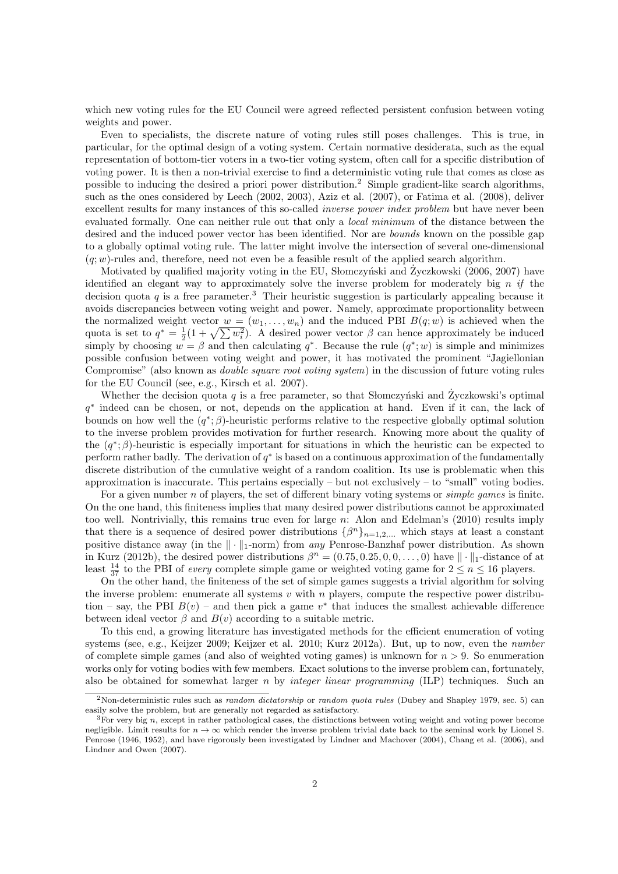which new voting rules for the EU Council were agreed reflected persistent confusion between voting weights and power.

Even to specialists, the discrete nature of voting rules still poses challenges. This is true, in particular, for the optimal design of a voting system. Certain normative desiderata, such as the equal representation of bottom-tier voters in a two-tier voting system, often call for a specific distribution of voting power. It is then a non-trivial exercise to find a deterministic voting rule that comes as close as possible to inducing the desired a priori power distribution.<sup>2</sup> Simple gradient-like search algorithms, such as the ones considered by Leech (2002, 2003), Aziz et al. (2007), or Fatima et al. (2008), deliver excellent results for many instances of this so-called *inverse power index problem* but have never been evaluated formally. One can neither rule out that only a local minimum of the distance between the desired and the induced power vector has been identified. Nor are *bounds* known on the possible gap to a globally optimal voting rule. The latter might involve the intersection of several one-dimensional  $(q; w)$ -rules and, therefore, need not even be a feasible result of the applied search algorithm.

Motivated by qualified majority voting in the EU, Słomczyński and Życzkowski (2006, 2007) have identified an elegant way to approximately solve the inverse problem for moderately big  $n$  if the decision quota q is a free parameter.<sup>3</sup> Their heuristic suggestion is particularly appealing because it avoids discrepancies between voting weight and power. Namely, approximate proportionality between the normalized weight vector  $w = (w_1, \ldots, w_n)$  and the induced PBI  $B(q; w)$  is achieved when the quota is set to  $q^* = \frac{1}{2}(1 + \sqrt{\sum w_i^2})$ . A desired power vector  $\beta$  can hence approximately be induced simply by choosing  $w = \beta$  and then calculating  $q^*$ . Because the rule  $(q^*; w)$  is simple and minimizes possible confusion between voting weight and power, it has motivated the prominent "Jagiellonian Compromise" (also known as double square root voting system) in the discussion of future voting rules for the EU Council (see, e.g., Kirsch et al. 2007).

Whether the decision quota q is a free parameter, so that Slomczynski and Zyczkowski's optimal q ∗ indeed can be chosen, or not, depends on the application at hand. Even if it can, the lack of bounds on how well the  $(q^*; \beta)$ -heuristic performs relative to the respective globally optimal solution to the inverse problem provides motivation for further research. Knowing more about the quality of the  $(q^*,\beta)$ -heuristic is especially important for situations in which the heuristic can be expected to perform rather badly. The derivation of  $q^*$  is based on a continuous approximation of the fundamentally discrete distribution of the cumulative weight of a random coalition. Its use is problematic when this approximation is inaccurate. This pertains especially – but not exclusively – to "small" voting bodies.

For a given number n of players, the set of different binary voting systems or *simple games* is finite. On the one hand, this finiteness implies that many desired power distributions cannot be approximated too well. Nontrivially, this remains true even for large  $n$ : Alon and Edelman's (2010) results imply that there is a sequence of desired power distributions  $\{\beta^n\}_{n=1,2,...}$  which stays at least a constant positive distance away (in the  $\|\cdot\|_1$ -norm) from any Penrose-Banzhaf power distribution. As shown in Kurz (2012b), the desired power distributions  $\beta^{n} = (0.75, 0.25, 0, 0, \ldots, 0)$  have  $\|\cdot\|_{1}$ -distance of at least  $\frac{14}{37}$  to the PBI of *every* complete simple game or weighted voting game for  $2 \le n \le 16$  players.

On the other hand, the finiteness of the set of simple games suggests a trivial algorithm for solving the inverse problem: enumerate all systems  $v$  with  $n$  players, compute the respective power distribution – say, the PBI  $B(v)$  – and then pick a game  $v^*$  that induces the smallest achievable difference between ideal vector  $\beta$  and  $B(v)$  according to a suitable metric.

To this end, a growing literature has investigated methods for the efficient enumeration of voting systems (see, e.g., Keijzer 2009; Keijzer et al. 2010; Kurz 2012a). But, up to now, even the *number* of complete simple games (and also of weighted voting games) is unknown for  $n > 9$ . So enumeration works only for voting bodies with few members. Exact solutions to the inverse problem can, fortunately, also be obtained for somewhat larger n by integer linear programming (ILP) techniques. Such an

<sup>&</sup>lt;sup>2</sup>Non-deterministic rules such as *random dictatorship* or *random quota rules* (Dubey and Shapley 1979, sec. 5) can easily solve the problem, but are generally not regarded as satisfactory.

 $3$ For very big n, except in rather pathological cases, the distinctions between voting weight and voting power become negligible. Limit results for  $n \to \infty$  which render the inverse problem trivial date back to the seminal work by Lionel S. Penrose (1946, 1952), and have rigorously been investigated by Lindner and Machover (2004), Chang et al. (2006), and Lindner and Owen (2007).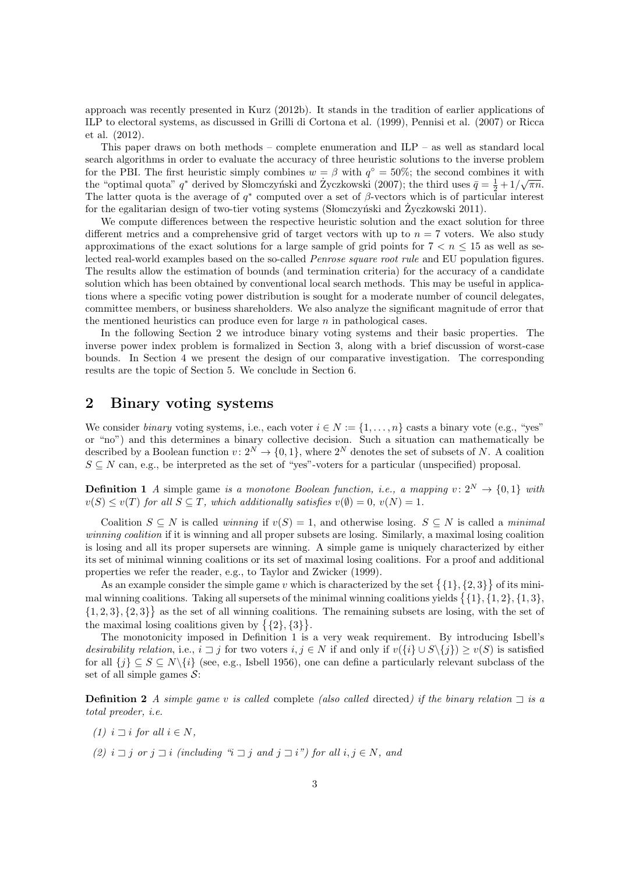approach was recently presented in Kurz (2012b). It stands in the tradition of earlier applications of ILP to electoral systems, as discussed in Grilli di Cortona et al. (1999), Pennisi et al. (2007) or Ricca et al. (2012).

This paper draws on both methods – complete enumeration and ILP – as well as standard local search algorithms in order to evaluate the accuracy of three heuristic solutions to the inverse problem for the PBI. The first heuristic simply combines  $w = \beta$  with  $q^{\circ} = 50\%$ ; the second combines it with the "optimal quota"  $q^*$  derived by Slomczyński and Zyczkowski (2007); the third uses  $\bar{q} = \frac{1}{2} + 1/\sqrt{\pi n}$ . The latter quota is the average of  $q^*$  computed over a set of  $\beta$ -vectors which is of particular interest for the egalitarian design of two-tier voting systems (Slomczyński and Życzkowski  $2011$ ).

We compute differences between the respective heuristic solution and the exact solution for three different metrics and a comprehensive grid of target vectors with up to  $n = 7$  voters. We also study approximations of the exact solutions for a large sample of grid points for  $7 < n \leq 15$  as well as selected real-world examples based on the so-called Penrose square root rule and EU population figures. The results allow the estimation of bounds (and termination criteria) for the accuracy of a candidate solution which has been obtained by conventional local search methods. This may be useful in applications where a specific voting power distribution is sought for a moderate number of council delegates, committee members, or business shareholders. We also analyze the significant magnitude of error that the mentioned heuristics can produce even for large  $n$  in pathological cases.

In the following Section 2 we introduce binary voting systems and their basic properties. The inverse power index problem is formalized in Section 3, along with a brief discussion of worst-case bounds. In Section 4 we present the design of our comparative investigation. The corresponding results are the topic of Section 5. We conclude in Section 6.

# 2 Binary voting systems

We consider binary voting systems, i.e., each voter  $i \in N := \{1, \ldots, n\}$  casts a binary vote (e.g., "yes") or "no") and this determines a binary collective decision. Such a situation can mathematically be described by a Boolean function  $v: 2^N \to \{0, 1\}$ , where  $2^N$  denotes the set of subsets of N. A coalition  $S \subseteq N$  can, e.g., be interpreted as the set of "yes"-voters for a particular (unspecified) proposal.

**Definition 1** A simple game is a monotone Boolean function, i.e., a mapping  $v: 2^N \rightarrow \{0, 1\}$  with  $v(S) \le v(T)$  for all  $S \subseteq T$ , which additionally satisfies  $v(\emptyset) = 0$ ,  $v(N) = 1$ .

Coalition  $S \subseteq N$  is called winning if  $v(S) = 1$ , and otherwise losing.  $S \subseteq N$  is called a minimal winning coalition if it is winning and all proper subsets are losing. Similarly, a maximal losing coalition is losing and all its proper supersets are winning. A simple game is uniquely characterized by either its set of minimal winning coalitions or its set of maximal losing coalitions. For a proof and additional properties we refer the reader, e.g., to Taylor and Zwicker (1999).

As an example consider the simple game v which is characterized by the set  $\{\{1\},\{2,3\}\}\$  of its minimal winning coalitions. Taking all supersets of the minimal winning coalitions yields  $\{\{1\},\{1,2\},\{1,3\},\$  $\{1, 2, 3\}, \{2, 3\}\}\$ as the set of all winning coalitions. The remaining subsets are losing, with the set of the maximal losing coalitions given by  $\{\{2\},\{3\}\}.$ 

The monotonicity imposed in Definition 1 is a very weak requirement. By introducing Isbell's desirability relation, i.e.,  $i \supset j$  for two voters  $i, j \in N$  if and only if  $v({i \in \cup S \setminus \{j\}) \ge v(S)}$  is satisfied for all  $\{j\} \subseteq S \subseteq N\setminus\{i\}$  (see, e.g., Isbell 1956), one can define a particularly relevant subclass of the set of all simple games  $S$ :

**Definition 2** A simple game v is called complete (also called directed) if the binary relation  $\Box$  is a total preoder, i.e.

- (1)  $i \sqsupset i$  for all  $i \in N$ ,
- (2)  $i \sqsupset j$  or  $j \sqsupset i$  (including "i  $\sqsupset j$  and  $j \sqsupset i$ ") for all  $i, j \in N$ , and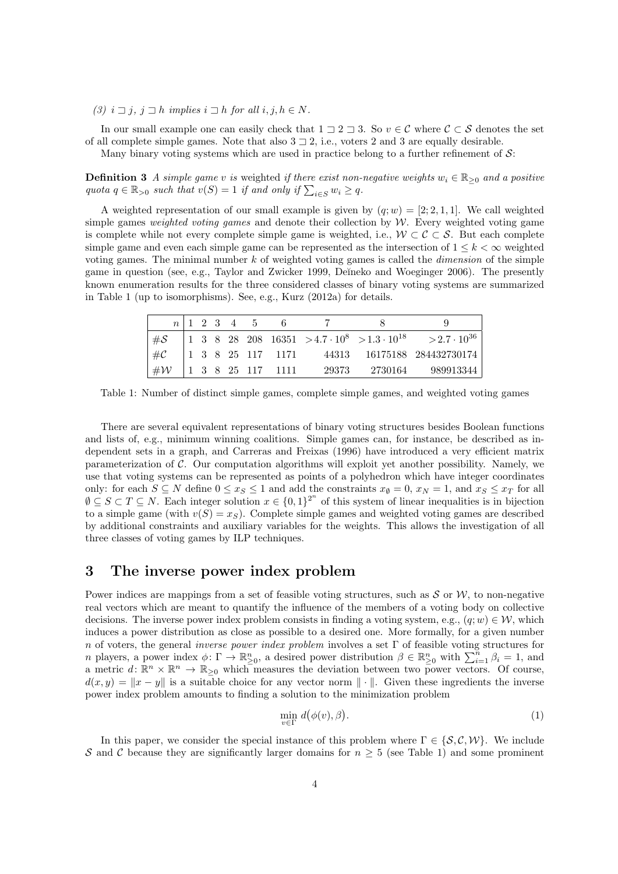(3)  $i \sqsupset j$ ,  $j \sqsupset h$  implies  $i \sqsupset h$  for all  $i, j, h \in N$ .

In our small example one can easily check that  $1 \supseteq 2 \supseteq 3$ . So  $v \in C$  where  $C \subset S$  denotes the set of all complete simple games. Note that also  $3 \sqsupset 2$ , i.e., voters 2 and 3 are equally desirable.

Many binary voting systems which are used in practice belong to a further refinement of  $\mathcal{S}$ :

**Definition 3** A simple game v is weighted if there exist non-negative weights  $w_i \in \mathbb{R}_{\geq 0}$  and a positive quota  $q \in \mathbb{R}_{>0}$  such that  $v(S) = 1$  if and only if  $\sum_{i \in S} w_i \ge q$ .

A weighted representation of our small example is given by  $(q; w) = [2; 2, 1, 1]$ . We call weighted simple games weighted voting games and denote their collection by  $W$ . Every weighted voting game is complete while not every complete simple game is weighted, i.e.,  $W \subset \mathcal{C} \subset \mathcal{S}$ . But each complete simple game and even each simple game can be represented as the intersection of  $1 \leq k \leq \infty$  weighted voting games. The minimal number  $k$  of weighted voting games is called the *dimension* of the simple game in question (see, e.g., Taylor and Zwicker 1999, Deĭneko and Woeginger 2006). The presently known enumeration results for the three considered classes of binary voting systems are summarized in Table 1 (up to isomorphisms). See, e.g., Kurz (2012a) for details.

|                               |  |  | $n \mid 1 \quad 2 \quad 3 \quad 4 \quad 5 \quad 6$ |  |                                                                                   |
|-------------------------------|--|--|----------------------------------------------------|--|-----------------------------------------------------------------------------------|
| $\#\mathcal{S}$               |  |  |                                                    |  | 1 3 8 28 208 16351 > 4.7 $\cdot 10^8$ > 1.3 $\cdot 10^{18}$ > 2.7 $\cdot 10^{36}$ |
| $^{\perp}$ #C                 |  |  |                                                    |  |                                                                                   |
| $ $ # $W$   1 3 8 25 117 1111 |  |  |                                                    |  | 29373 2730164 989913344                                                           |

Table 1: Number of distinct simple games, complete simple games, and weighted voting games

There are several equivalent representations of binary voting structures besides Boolean functions and lists of, e.g., minimum winning coalitions. Simple games can, for instance, be described as independent sets in a graph, and Carreras and Freixas (1996) have introduced a very efficient matrix parameterization of  $C$ . Our computation algorithms will exploit yet another possibility. Namely, we use that voting systems can be represented as points of a polyhedron which have integer coordinates only: for each  $S \subseteq N$  define  $0 \le x_S \le 1$  and add the constraints  $x_{\emptyset} = 0$ ,  $x_N = 1$ , and  $x_S \le x_T$  for all  $\emptyset \subseteq S \subset T \subseteq N$ . Each integer solution  $x \in \{0,1\}^{2^n}$  of this system of linear inequalities is in bijection to a simple game (with  $v(S) = x_S$ ). Complete simple games and weighted voting games are described by additional constraints and auxiliary variables for the weights. This allows the investigation of all three classes of voting games by ILP techniques.

# 3 The inverse power index problem

Power indices are mappings from a set of feasible voting structures, such as  $S$  or  $W$ , to non-negative real vectors which are meant to quantify the influence of the members of a voting body on collective decisions. The inverse power index problem consists in finding a voting system, e.g.,  $(q; w) \in \mathcal{W}$ , which induces a power distribution as close as possible to a desired one. More formally, for a given number n of voters, the general *inverse power index problem* involves a set  $\Gamma$  of feasible voting structures for n players, a power index  $\phi \colon \Gamma \to \mathbb{R}^n_{\geq 0}$ , a desired power distribution  $\beta \in \mathbb{R}^n_{\geq 0}$  with  $\sum_{i=1}^n \beta_i = 1$ , and a metric  $d \colon \mathbb{R}^n \times \mathbb{R}^n \to \mathbb{R}_{\geq 0}$  which measures the deviation between two power vectors. Of course,  $d(x, y) = ||x - y||$  is a suitable choice for any vector norm  $|| \cdot ||$ . Given these ingredients the inverse power index problem amounts to finding a solution to the minimization problem

$$
\min_{v \in \Gamma} d(\phi(v), \beta). \tag{1}
$$

In this paper, we consider the special instance of this problem where  $\Gamma \in \{S, C, W\}$ . We include S and C because they are significantly larger domains for  $n \geq 5$  (see Table 1) and some prominent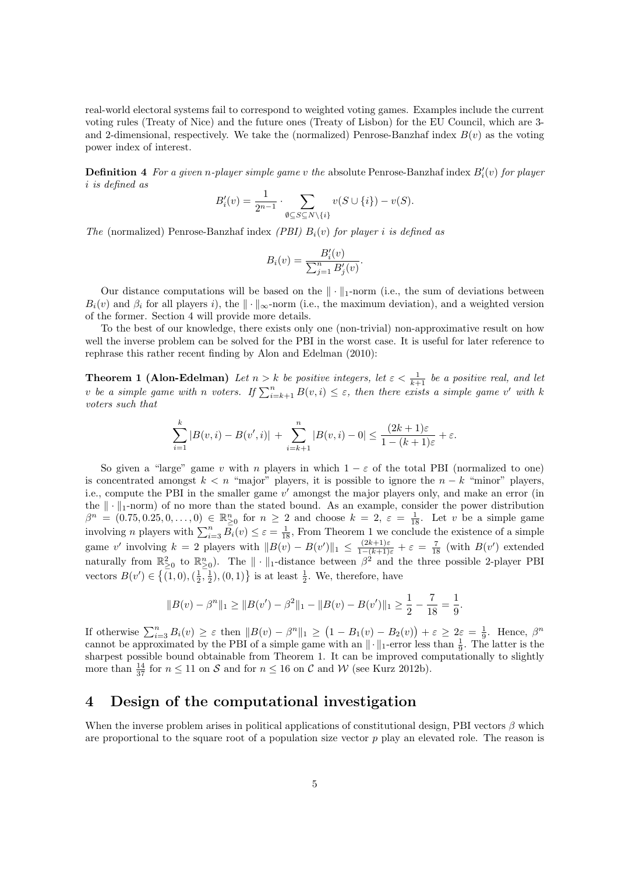real-world electoral systems fail to correspond to weighted voting games. Examples include the current voting rules (Treaty of Nice) and the future ones (Treaty of Lisbon) for the EU Council, which are 3 and 2-dimensional, respectively. We take the (normalized) Penrose-Banzhaf index  $B(v)$  as the voting power index of interest.

**Definition 4** For a given n-player simple game v the absolute Penrose-Banzhaf index  $B_i'(v)$  for player i is defined as

$$
B_i'(v) = \frac{1}{2^{n-1}} \cdot \sum_{\emptyset \subseteq S \subseteq N \setminus \{i\}} v(S \cup \{i\}) - v(S).
$$

The (normalized) Penrose-Banzhaf index (PBI)  $B_i(v)$  for player i is defined as

$$
B_i(v) = \frac{B_i'(v)}{\sum_{j=1}^n B_j'(v)}.
$$

Our distance computations will be based on the  $\|\cdot\|_1$ -norm (i.e., the sum of deviations between  $B_i(v)$  and  $\beta_i$  for all players i), the  $\|\cdot\|_{\infty}$ -norm (i.e., the maximum deviation), and a weighted version of the former. Section 4 will provide more details.

To the best of our knowledge, there exists only one (non-trivial) non-approximative result on how well the inverse problem can be solved for the PBI in the worst case. It is useful for later reference to rephrase this rather recent finding by Alon and Edelman (2010):

**Theorem 1 (Alon-Edelman)** Let  $n > k$  be positive integers, let  $\epsilon < \frac{1}{k+1}$  be a positive real, and let v be a simple game with n voters. If  $\sum_{i=k+1}^{n} B(v, i) \leq \varepsilon$ , then there exists a simple game v' with k voters such that

$$
\sum_{i=1}^{k} |B(v, i) - B(v', i)| + \sum_{i=k+1}^{n} |B(v, i) - 0| \le \frac{(2k+1)\varepsilon}{1 - (k+1)\varepsilon} + \varepsilon.
$$

So given a "large" game v with n players in which  $1 - \varepsilon$  of the total PBI (normalized to one) is concentrated amongst  $k < n$  "major" players, it is possible to ignore the  $n - k$  "minor" players, i.e., compute the PBI in the smaller game  $v'$  amongst the major players only, and make an error (in the  $\|\cdot\|_1$ -norm) of no more than the stated bound. As an example, consider the power distribution  $\beta^n = (0.75, 0.25, 0, \ldots, 0) \in \mathbb{R}_{\geq 0}^n$  for  $n \geq 2$  and choose  $k = 2, \varepsilon = \frac{1}{18}$ . Let v be a simple game involving n players with  $\sum_{i=3}^{n} \overline{B_i}(v) \leq \varepsilon = \frac{1}{18}$ , From Theorem 1 we conclude the existence of a simple game v' involving  $k = 2$  players with  $||B(v) - B(v')||_1 \le \frac{(2k+1)\varepsilon}{1-(k+1)\varepsilon} + \varepsilon = \frac{7}{18}$  (with  $B(v')$  extended naturally from  $\mathbb{R}^2_{\geq 0}$  to  $\mathbb{R}^n_{\geq 0}$ . The  $\|\cdot\|_1$ -distance between  $\beta^2$  and the three possible 2-player PBI vectors  $B(v') \in \left\{ \overline{(1,0)}, \left(\frac{1}{2}, \frac{1}{2}\right), (0,1) \right\}$  is at least  $\frac{1}{2}$ . We, therefore, have

$$
||B(v) - \beta^{n}||_1 \ge ||B(v') - \beta^{2}||_1 - ||B(v) - B(v')||_1 \ge \frac{1}{2} - \frac{7}{18} = \frac{1}{9}.
$$

If otherwise  $\sum_{i=3}^{n} B_i(v) \geq \varepsilon$  then  $||B(v) - \beta^n||_1 \geq (1 - B_1(v) - B_2(v)) + \varepsilon \geq 2\varepsilon = \frac{1}{9}$ . Hence,  $\beta^n$ cannot be approximated by the PBI of a simple game with an  $\|\cdot\|_1$ -error less than  $\frac{1}{9}$ . The latter is the sharpest possible bound obtainable from Theorem 1. It can be improved computationally to slightly more than  $\frac{14}{37}$  for  $n \le 11$  on S and for  $n \le 16$  on C and W (see Kurz 2012b).

### 4 Design of the computational investigation

When the inverse problem arises in political applications of constitutional design, PBI vectors  $\beta$  which are proportional to the square root of a population size vector  $p$  play an elevated role. The reason is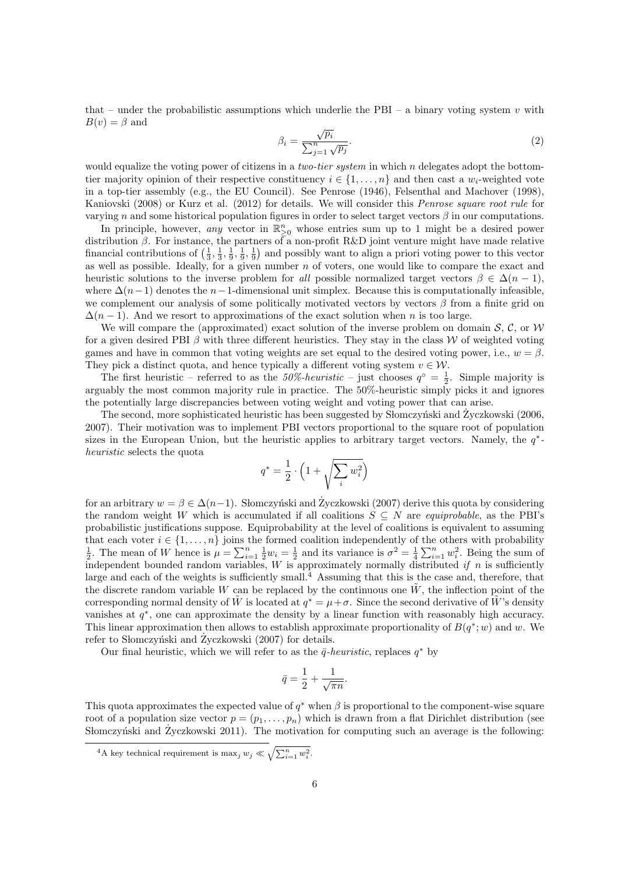that – under the probabilistic assumptions which underlie the PBI – a binary voting system v with  $B(v) = \beta$  and √

$$
\beta_i = \frac{\sqrt{p_i}}{\sum_{j=1}^n \sqrt{p_j}}.\tag{2}
$$

would equalize the voting power of citizens in a *two-tier system* in which n delegates adopt the bottomtier majority opinion of their respective constituency  $i \in \{1, \ldots, n\}$  and then cast a  $w_i$ -weighted vote in a top-tier assembly (e.g., the EU Council). See Penrose (1946), Felsenthal and Machover (1998), Kaniovski (2008) or Kurz et al. (2012) for details. We will consider this Penrose square root rule for varying n and some historical population figures in order to select target vectors  $\beta$  in our computations.

In principle, however, any vector in  $\mathbb{R}^n_{\geq 0}$  whose entries sum up to 1 might be a desired power distribution  $\beta$ . For instance, the partners of a non-profit R&D joint venture might have made relative financial contributions of  $(\frac{1}{3}, \frac{1}{3}, \frac{1}{9}, \frac{1}{9}, \frac{1}{9})$  and possibly want to align a priori voting power to this vector as well as possible. Ideally, for a given number n of voters, one would like to compare the exact and heuristic solutions to the inverse problem for all possible normalized target vectors  $\beta \in \Delta(n-1)$ , where  $\Delta(n-1)$  denotes the n−1-dimensional unit simplex. Because this is computationally infeasible, we complement our analysis of some politically motivated vectors by vectors  $\beta$  from a finite grid on  $\Delta(n-1)$ . And we resort to approximations of the exact solution when n is too large.

We will compare the (approximated) exact solution of the inverse problem on domain  $S, C$ , or W for a given desired PBI  $\beta$  with three different heuristics. They stay in the class W of weighted voting games and have in common that voting weights are set equal to the desired voting power, i.e.,  $w = \beta$ . They pick a distinct quota, and hence typically a different voting system  $v \in \mathcal{W}$ .

The first heuristic – referred to as the 50%-heuristic – just chooses  $q^{\circ} = \frac{1}{2}$ . Simple majority is arguably the most common majority rule in practice. The 50%-heuristic simply picks it and ignores the potentially large discrepancies between voting weight and voting power that can arise.

The second, more sophisticated heuristic has been suggested by Słomczyński and Życzkowski (2006, 2007). Their motivation was to implement PBI vectors proportional to the square root of population sizes in the European Union, but the heuristic applies to arbitrary target vectors. Namely, the  $q^*$ heuristic selects the quota

$$
q^* = \frac{1}{2} \cdot \left( 1 + \sqrt{\sum_i w_i^2} \right)
$$

for an arbitrary  $w = \beta \in \Delta(n-1)$ . Slomczyński and Życzkowski (2007) derive this quota by considering the random weight W which is accumulated if all coalitions  $S \subseteq N$  are *equiprobable*, as the PBI's probabilistic justifications suppose. Equiprobability at the level of coalitions is equivalent to assuming that each voter  $i \in \{1, \ldots, n\}$  joins the formed coalition independently of the others with probability  $\frac{1}{2}$ . The mean of W hence is  $\mu = \sum_{i=1}^{n} \frac{1}{2} w_i = \frac{1}{2}$  and its variance is  $\sigma^2 = \frac{1}{4} \sum_{i=1}^{n} w_i^2$ . Being the sum of independent bounded random variables, W is approximately normally distributed if n is sufficiently large and each of the weights is sufficiently small.<sup>4</sup> Assuming that this is the case and, therefore, that the discrete random variable W can be replaced by the continuous one  $\tilde{W}$ , the inflection point of the corresponding normal density of  $\tilde{W}$  is located at  $q^* = \mu + \sigma$ . Since the second derivative of  $\tilde{W}$ 's density vanishes at  $q^*$ , one can approximate the density by a linear function with reasonably high accuracy. This linear approximation then allows to establish approximate proportionality of  $B(q^*; w)$  and w. We refer to Słomczyński and Zyczkowski  $(2007)$  for details.

Our final heuristic, which we will refer to as the  $\bar{q}$ -heuristic, replaces  $q^*$  by

$$
\bar{q} = \frac{1}{2} + \frac{1}{\sqrt{\pi n}}.
$$

This quota approximates the expected value of  $q^*$  when  $\beta$  is proportional to the component-wise square root of a population size vector  $p = (p_1, \ldots, p_n)$  which is drawn from a flat Dirichlet distribution (see Słomczyński and Życzkowski 2011). The motivation for computing such an average is the following:

<sup>&</sup>lt;sup>4</sup>A key technical requirement is max<sub>j</sub>  $w_j \ll \sqrt{\sum_{i=1}^n w_i^2}$ .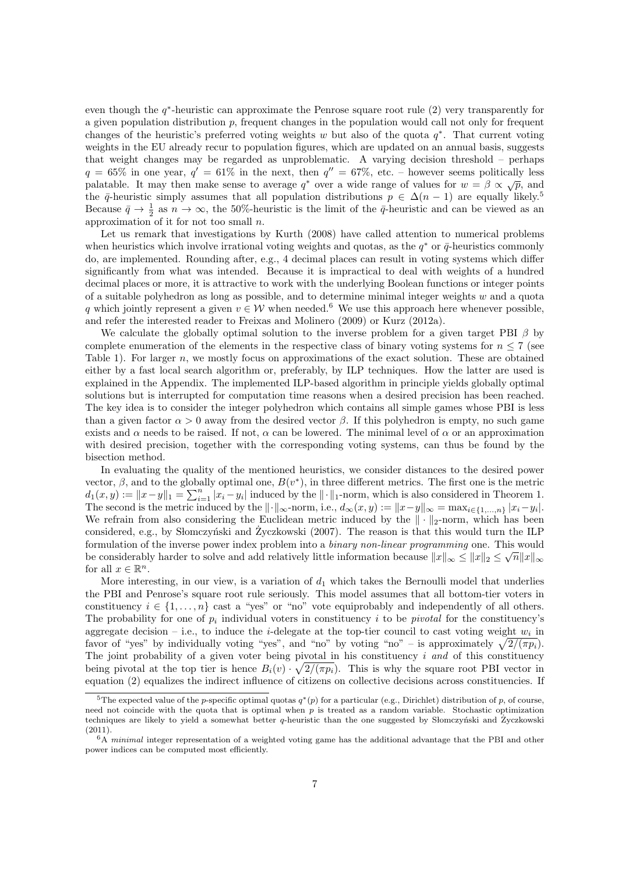even though the  $q^*$ -heuristic can approximate the Penrose square root rule  $(2)$  very transparently for a given population distribution p, frequent changes in the population would call not only for frequent changes of the heuristic's preferred voting weights w but also of the quota  $q^*$ . That current voting weights in the EU already recur to population figures, which are updated on an annual basis, suggests that weight changes may be regarded as unproblematic. A varying decision threshold – perhaps  $q = 65\%$  in one year,  $q' = 61\%$  in the next, then  $q'' = 67\%$ , etc. – however seems politically less palatable. It may then make sense to average  $q^*$  over a wide range of values for  $w = \beta \propto \sqrt{p}$ , and the  $\bar{q}$ -heuristic simply assumes that all population distributions  $p \in \Delta(n-1)$  are equally likely.<sup>5</sup> Because  $\bar{q} \to \frac{1}{2}$  as  $n \to \infty$ , the 50%-heuristic is the limit of the  $\bar{q}$ -heuristic and can be viewed as an approximation of it for not too small n.

Let us remark that investigations by Kurth (2008) have called attention to numerical problems when heuristics which involve irrational voting weights and quotas, as the  $q^*$  or  $\bar{q}$ -heuristics commonly do, are implemented. Rounding after, e.g., 4 decimal places can result in voting systems which differ significantly from what was intended. Because it is impractical to deal with weights of a hundred decimal places or more, it is attractive to work with the underlying Boolean functions or integer points of a suitable polyhedron as long as possible, and to determine minimal integer weights  $w$  and a quota q which jointly represent a given  $v \in W$  when needed.<sup>6</sup> We use this approach here whenever possible, and refer the interested reader to Freixas and Molinero (2009) or Kurz (2012a).

We calculate the globally optimal solution to the inverse problem for a given target PBI  $\beta$  by complete enumeration of the elements in the respective class of binary voting systems for  $n \leq 7$  (see Table 1). For larger n, we mostly focus on approximations of the exact solution. These are obtained either by a fast local search algorithm or, preferably, by ILP techniques. How the latter are used is explained in the Appendix. The implemented ILP-based algorithm in principle yields globally optimal solutions but is interrupted for computation time reasons when a desired precision has been reached. The key idea is to consider the integer polyhedron which contains all simple games whose PBI is less than a given factor  $\alpha > 0$  away from the desired vector  $\beta$ . If this polyhedron is empty, no such game exists and  $\alpha$  needs to be raised. If not,  $\alpha$  can be lowered. The minimal level of  $\alpha$  or an approximation with desired precision, together with the corresponding voting systems, can thus be found by the bisection method.

In evaluating the quality of the mentioned heuristics, we consider distances to the desired power vector,  $\beta$ , and to the globally optimal one,  $B(v^*)$ , in three different metrics. The first one is the metric  $d_1(x,y) := \|x-y\|_1 = \sum_{i=1}^n |x_i - y_i|$  induced by the  $\|\cdot\|_1$ -norm, which is also considered in Theorem 1. The second is the metric induced by the  $\|\cdot\|_{\infty}$ -norm, i.e.,  $d_{\infty}(x, y) := \|x - y\|_{\infty} = \max_{i \in \{1, ..., n\}} |x_i - y_i|$ . We refrain from also considering the Euclidean metric induced by the  $\|\cdot\|_2$ -norm, which has been considered, e.g., by Słomczyński and Zyczkowski  $(2007)$ . The reason is that this would turn the ILP formulation of the inverse power index problem into a *binary non-linear programming* one. This would be considerably harder to solve and add relatively little information because  $\|x\|_{\infty} \leq \|x\|_2 \leq \sqrt{n} \|x\|_{\infty}$ for all  $x \in \mathbb{R}^n$ .

More interesting, in our view, is a variation of  $d_1$  which takes the Bernoulli model that underlies the PBI and Penrose's square root rule seriously. This model assumes that all bottom-tier voters in constituency  $i \in \{1, \ldots, n\}$  cast a "yes" or "no" vote equiprobably and independently of all others. The probability for one of  $p_i$  individual voters in constituency i to be *pivotal* for the constituency's aggregate decision – i.e., to induce the *i*-delegate at the top-tier council to cast voting weight  $w_i$  in favor of "yes" by individually voting "yes", and "no" by voting "no" – is approximately  $\sqrt{2/(\pi p_i)}$ . The joint probability of a given voter being pivotal in his constituency i and of this constituency being pivotal at the top tier is hence  $B_i(v) \cdot \sqrt{2/(\pi p_i)}$ . This is why the square root PBI vector in equation (2) equalizes the indirect influence of citizens on collective decisions across constituencies. If

<sup>&</sup>lt;sup>5</sup>The expected value of the p-specific optimal quotas  $q^*(p)$  for a particular (e.g., Dirichlet) distribution of p, of course, need not coincide with the quota that is optimal when  $p$  is treated as a random variable. Stochastic optimization techniques are likely to yield a somewhat better  $q$ -heuristic than the one suggested by Słomczyński and Zyczkowski (2011).

 $6A$  minimal integer representation of a weighted voting game has the additional advantage that the PBI and other power indices can be computed most efficiently.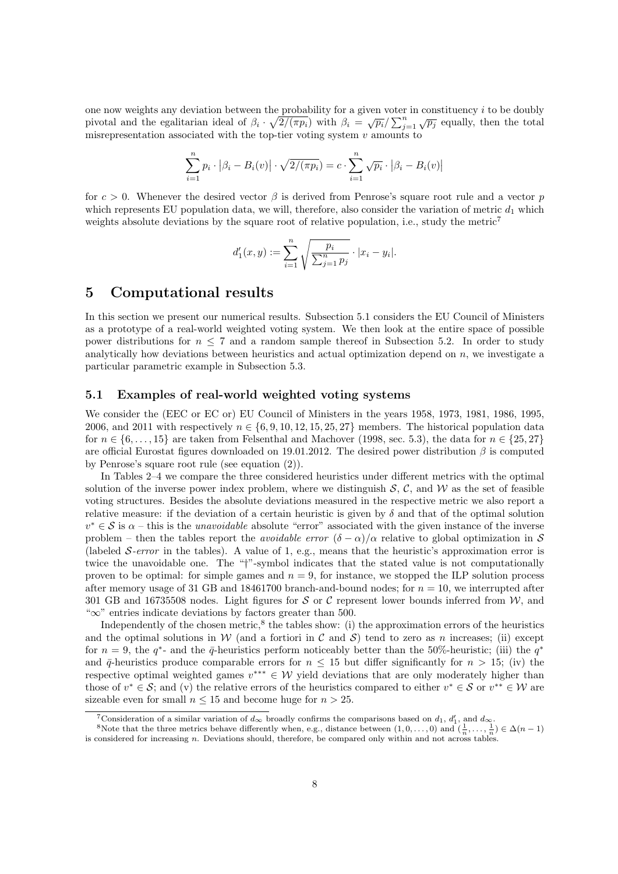one now weights any deviation between the probability for a given voter in constituency  $i$  to be doubly pivotal and the egalitarian ideal of  $\beta_i \cdot \sqrt{2/(\pi p_i)}$  with  $\beta_i = \sqrt{p_i}/\sum_{j=1}^n \sqrt{p_j}$  equally, then the total misrepresentation associated with the top-tier voting system  $v$  amounts to

$$
\sum_{i=1}^{n} p_i \cdot |\beta_i - B_i(v)| \cdot \sqrt{2/(\pi p_i)} = c \cdot \sum_{i=1}^{n} \sqrt{p_i} \cdot |\beta_i - B_i(v)|
$$

for  $c > 0$ . Whenever the desired vector  $\beta$  is derived from Penrose's square root rule and a vector p which represents EU population data, we will, therefore, also consider the variation of metric  $d_1$  which weights absolute deviations by the square root of relative population, i.e., study the metric<sup>7</sup>

$$
d'_1(x,y) := \sum_{i=1}^n \sqrt{\frac{p_i}{\sum_{j=1}^n p_j}} \cdot |x_i - y_i|.
$$

### 5 Computational results

In this section we present our numerical results. Subsection 5.1 considers the EU Council of Ministers as a prototype of a real-world weighted voting system. We then look at the entire space of possible power distributions for  $n \leq 7$  and a random sample thereof in Subsection 5.2. In order to study analytically how deviations between heuristics and actual optimization depend on  $n$ , we investigate a particular parametric example in Subsection 5.3.

#### 5.1 Examples of real-world weighted voting systems

We consider the (EEC or EC or) EU Council of Ministers in the years 1958, 1973, 1981, 1986, 1995, 2006, and 2011 with respectively  $n \in \{6, 9, 10, 12, 15, 25, 27\}$  members. The historical population data for  $n \in \{6, \ldots, 15\}$  are taken from Felsenthal and Machover (1998, sec. 5.3), the data for  $n \in \{25, 27\}$ are official Eurostat figures downloaded on 19.01.2012. The desired power distribution  $\beta$  is computed by Penrose's square root rule (see equation (2)).

In Tables 2–4 we compare the three considered heuristics under different metrics with the optimal solution of the inverse power index problem, where we distinguish  $S$ , C, and W as the set of feasible voting structures. Besides the absolute deviations measured in the respective metric we also report a relative measure: if the deviation of a certain heuristic is given by  $\delta$  and that of the optimal solution  $v^* \in \mathcal{S}$  is  $\alpha$  – this is the *unavoidable* absolute "error" associated with the given instance of the inverse problem – then the tables report the *avoidable error*  $(\delta - \alpha)/\alpha$  relative to global optimization in S (labeled  $\mathcal{S}\text{-error}$  in the tables). A value of 1, e.g., means that the heuristic's approximation error is twice the unavoidable one. The "†"-symbol indicates that the stated value is not computationally proven to be optimal: for simple games and  $n = 9$ , for instance, we stopped the ILP solution process after memory usage of 31 GB and 18461700 branch-and-bound nodes; for  $n = 10$ , we interrupted after 301 GB and 16735508 nodes. Light figures for S or C represent lower bounds inferred from  $W$ , and "∞" entries indicate deviations by factors greater than 500.

Independently of the chosen metric,<sup>8</sup> the tables show: (i) the approximation errors of the heuristics and the optimal solutions in W (and a fortiori in C and S) tend to zero as n increases; (ii) except for  $n = 9$ , the  $q^*$ - and the  $\bar{q}$ -heuristics perform noticeably better than the 50%-heuristic; (iii) the  $q^*$ and  $\bar{q}$ -heuristics produce comparable errors for  $n \leq 15$  but differ significantly for  $n > 15$ ; (iv) the respective optimal weighted games  $v^{***} \in W$  yield deviations that are only moderately higher than those of  $v^* \in \mathcal{S}$ ; and (v) the relative errors of the heuristics compared to either  $v^* \in \mathcal{S}$  or  $v^{**} \in \mathcal{W}$  are sizeable even for small  $n \leq 15$  and become huge for  $n > 25$ .

<sup>&</sup>lt;sup>7</sup>Consideration of a similar variation of  $d_{\infty}$  broadly confirms the comparisons based on  $d_1$ ,  $d'_1$ , and  $d_{\infty}$ .

<sup>&</sup>lt;sup>8</sup>Note that the three metrics behave differently when, e.g., distance between  $(1,0,\ldots,0)$  and  $(\frac{1}{n},\ldots,\frac{1}{n}) \in \Delta(n-1)$ is considered for increasing n. Deviations should, therefore, be compared only within and not across tables.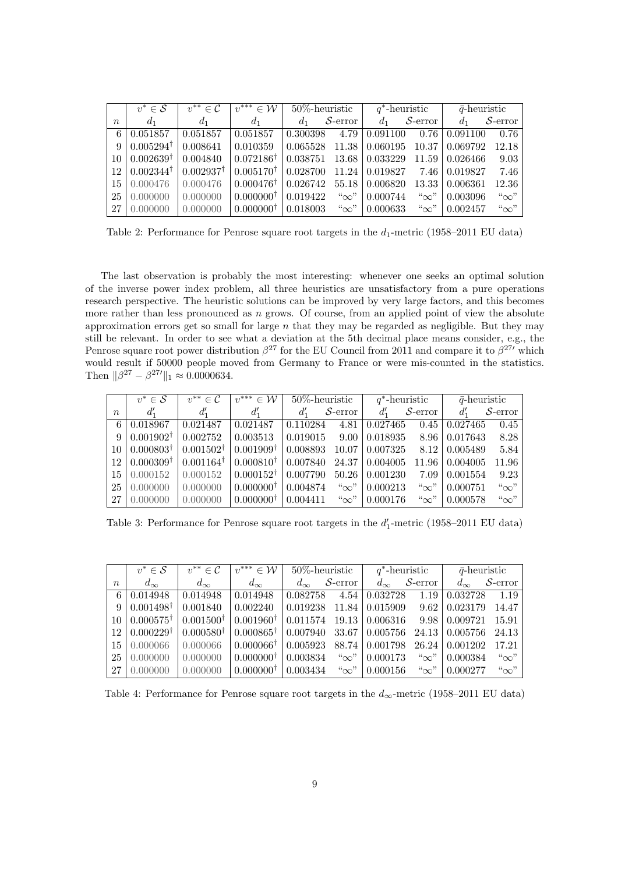|             | $v^* \in \mathcal{S}$ | $v^{**} \in \mathcal{C}$ | $v^{***}\in\mathcal{W}$ | $50\%$ -heuristic |                  |                            | $q^*$ -heuristic           | $\bar{q}$ -heuristic  |                  |
|-------------|-----------------------|--------------------------|-------------------------|-------------------|------------------|----------------------------|----------------------------|-----------------------|------------------|
| $n_{\rm c}$ | $d_1$                 | $d_1$                    | $d_1$                   | $d_1$             | $S\text{-error}$ | $d_1$                      | $\mathcal{S}\text{-error}$ | $d_1$                 | $S\text{-error}$ |
| 6           | 0.051857              | 0.051857                 | 0.051857                | 0.300398          | 4.79             | 0.091100                   | 0.76                       | 0.091100              | 0.76             |
| 9           | $0.005294^{\dagger}$  | 0.008641                 | 0.010359                | 0.065528          | 11.38            | 0.060195                   | 10.37                      | 0.069792              | 12.18            |
| 10          | $0.002639^{\dagger}$  | 0.004840                 | $0.072186^{\dagger}$    | 0.038751          | 13.68            | 0.033229                   |                            | $11.59 \mid 0.026466$ | 9.03             |
| 12          | $0.002344^{\dagger}$  | $0.002937^{\dagger}$     | $0.005170^{\dagger}$    | 0.028700          |                  | $11.24 \mid 0.019827$ 7.46 |                            | 0.019827              | 7.46             |
| 15          | 0.000476              | 0.000476                 | $0.000476^{\dagger}$    | 0.026742          | 55.18            | 0.006820                   | 13.33                      | 0.006361              | 12.36            |
| 25          | 0.000000              | 0.000000                 | 0.000000 <sup>†</sup>   | 0.019422          | $``\infty"$      | 0.000744                   | $\lq\infty$ "              | 0.003096              | $``\infty"$      |
| 27          | 0.000000              | 0.000000                 | $0.000000^{\dagger}$    | 0.018003          | $\lq\infty$ "    | 0.000633                   | $\lq\infty$ "              | 0.002457              | $``\infty"$      |

Table 2: Performance for Penrose square root targets in the  $d_1$ -metric (1958–2011 EU data)

The last observation is probably the most interesting: whenever one seeks an optimal solution of the inverse power index problem, all three heuristics are unsatisfactory from a pure operations research perspective. The heuristic solutions can be improved by very large factors, and this becomes more rather than less pronounced as  $n$  grows. Of course, from an applied point of view the absolute approximation errors get so small for large  $n$  that they may be regarded as negligible. But they may still be relevant. In order to see what a deviation at the 5th decimal place means consider, e.g., the Penrose square root power distribution  $\beta^{27}$  for the EU Council from 2011 and compare it to  $\beta^{27}$  which would result if 50000 people moved from Germany to France or were mis-counted in the statistics. Then  $\|\beta^{27} - \beta^{27'} \|_1 \approx 0.0000634$ .

|             | $v^* \in \mathcal{S}$        | $v^{**} \in \mathcal{C}$ | $v^{***}\in\mathcal{W}$ |          | $50\%$ -heuristic | $q^*$ -heuristic |                            | $\bar{q}$ -heuristic |                            |
|-------------|------------------------------|--------------------------|-------------------------|----------|-------------------|------------------|----------------------------|----------------------|----------------------------|
| $n_{\rm c}$ | $d_{1}^{\prime}$             | $d_1'$                   | $d_1'$                  |          | $S\text{-error}$  | $d_{1}^{\prime}$ | $\mathcal{S}\text{-error}$ | $d_1'$               | $\mathcal{S}\text{-error}$ |
| 6           | $\mid 0.018967$              | 0.021487                 | 0.021487                | 0.110284 | 4.81              | 0.027465         | 0.45                       | 0.027465             | 0.45                       |
| 9           | $\pm 0.001902^{\dagger}$     | 0.002752                 | 0.003513                | 0.019015 | $9.00\pm$         | 0.018935         | 8.96                       | 0.017643             | 8.28                       |
|             | $10 \mid 0.000803^{\dagger}$ | $0.001502^{\dagger}$     | $0.001909^{\dagger}$    | 0.008893 | 10.07             | 0.007325         |                            | $8.12 \mid 0.005489$ | 5.84                       |
|             | $12 0.000309^{\dagger}$      | $0.001164^{\dagger}$     | $0.000810^{\dagger}$    | 0.007840 | 24.37             | 0.004005         | 11.96                      | 0.004005             | 11.96                      |
| 15          | 0.000152                     | 0.000152                 | $0.000152^{\dagger}$    | 0.007790 | 50.26             | 0.001230         | 7.09                       | 0.001554             | 9.23                       |
| 25          | 0.000000                     | 0.000000                 | $0.000000^{\dagger}$    | 0.004874 | $``\infty"$       | 0.000213         | $``\infty"$                | 0.000751             | $``\infty"$                |
| 27          | 0.000000                     | 0.000000                 | 0.000000 <sup>†</sup>   | 0.004411 | " $\infty$ "      | 0.000176         | $\lq\infty$ "              | 0.000578             | $``\infty"$                |

Table 3: Performance for Penrose square root targets in the  $d'_1$ -metric (1958–2011 EU data)

|                  | $v^* \in \mathcal{S}$        | $v^{**} \in \mathcal{C}$ | $v^{***} \in \mathcal{W}$ | $50\%$ -heuristic |                  | $q^*$ -heuristic                        |                                      | $\bar{q}$ -heuristic        |              |
|------------------|------------------------------|--------------------------|---------------------------|-------------------|------------------|-----------------------------------------|--------------------------------------|-----------------------------|--------------|
| $\boldsymbol{n}$ | $d_{\infty}$                 | $d_{\infty}$             | $d_{\infty}$              | $d_{\infty}$      | $S\text{-error}$ | $d_{\infty}$                            | $S\text{-error}$                     | $d_{\infty}$                | $S$ -error   |
| 6                | 0.014948                     | 0.014948                 | 0.014948                  | 0.082758          | 4.54             | 0.032728                                | 1.19                                 | 0.032728                    | 1.19         |
|                  | $9   0.001498^{\dagger}$     | 0.001840                 | 0.002240                  |                   |                  | $0.019238$ 11.84 0.015909               | 9.62                                 | 0.023179                    | 14.47        |
|                  | $10 \mid 0.000575^{\dagger}$ | $0.001500^{\dagger}$     | $0.001960^{\dagger}$      |                   |                  | $0.011574$ 19.13 0.006316               |                                      | $9.98 \mid 0.009721$        | 15.91        |
|                  | $12   0.000229^{\dagger}  $  | $0.000580^{\dagger}$     | $0.000865^{\dagger}$      |                   |                  | $0.007940$ 33.67 $\vert 0.005756 \vert$ |                                      | $24.13 \mid 0.005756$ 24.13 |              |
|                  | $15 \mid 0.000066$           | 0.000066                 | $0.000066^{\dagger}$      | 0.005923          | 88.74            | 0.001798                                |                                      | $-26.24 \pm 0.001202$       | 17.21        |
| 25               | 0.000000                     | 0.000000                 | $0.000000^{\dagger}$      | 0.003834          | " $\infty$ "     | 0.000173                                | $\lq\infty$ "                        | 0.000384                    | $``\infty"$  |
| 27               | 0.000000                     | 0.000000                 | $0.000000^{\dagger}$      | 0.003434          | " $\infty$ "     | 0.000156                                | $\lbrack\lbrack\infty\rbrack\rbrack$ | 0.000277                    | " $\infty$ " |

Table 4: Performance for Penrose square root targets in the  $d_{\infty}$ -metric (1958–2011 EU data)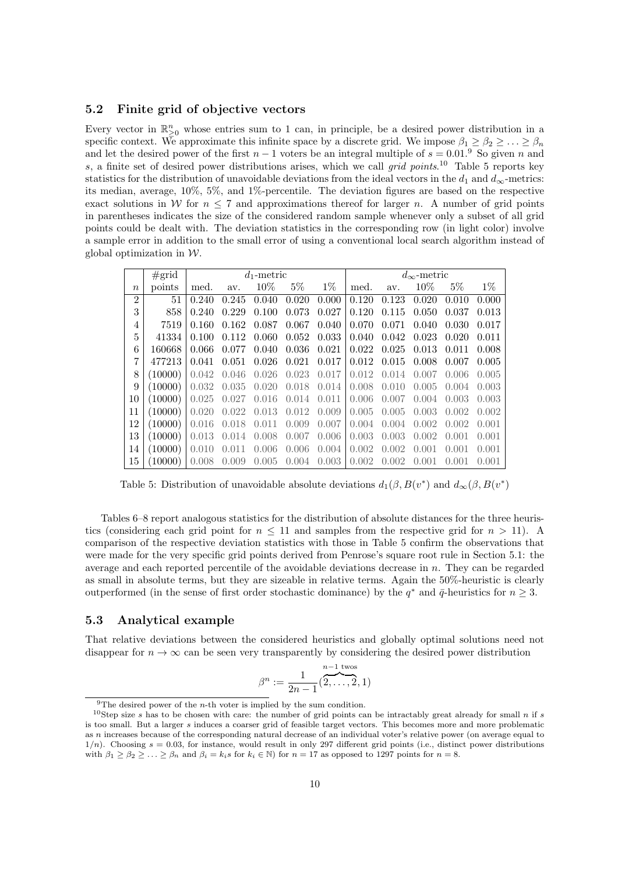#### 5.2 Finite grid of objective vectors

Every vector in  $\mathbb{R}^n_{\geq 0}$  whose entries sum to 1 can, in principle, be a desired power distribution in a specific context. We approximate this infinite space by a discrete grid. We impose  $\beta_1 \geq \beta_2 \geq \ldots \geq \beta_n$ and let the desired power of the first  $n-1$  voters be an integral multiple of  $s = 0.01$ .<sup>9</sup> So given n and s, a finite set of desired power distributions arises, which we call grid points.<sup>10</sup> Table 5 reports key statistics for the distribution of unavoidable deviations from the ideal vectors in the  $d_1$  and  $d_{\infty}$ -metrics: its median, average, 10%, 5%, and 1%-percentile. The deviation figures are based on the respective exact solutions in W for  $n \leq 7$  and approximations thereof for larger n. A number of grid points in parentheses indicates the size of the considered random sample whenever only a subset of all grid points could be dealt with. The deviation statistics in the corresponding row (in light color) involve a sample error in addition to the small error of using a conventional local search algorithm instead of global optimization in  $W$ .

|                  | #grid   |         |       | $d_1$ -metric |       |       |       |       | $d_{\infty}$ -metric |         |       |
|------------------|---------|---------|-------|---------------|-------|-------|-------|-------|----------------------|---------|-------|
| $\boldsymbol{n}$ | points  | med.    | av.   | 10%           | $5\%$ | $1\%$ | med.  | av.   | 10%                  | $5\%$   | $1\%$ |
| $\overline{2}$   | 51      | 0.240   | 0.245 | 0.040         | 0.020 | 0.000 | 0.120 | 0.123 | 0.020                | 0.010   | 0.000 |
| 3                | 858     | 0.240   | 0.229 | 0.100         | 0.073 | 0.027 | 0.120 | 0.115 | 0.050                | 0.037   | 0.013 |
| 4                | 7519    | 0.160   | 0.162 | 0.087         | 0.067 | 0.040 | 0.070 | 0.071 | 0.040                | 0.030   | 0.017 |
| 5                | 41334   | 0.100   | 0.112 | 0.060         | 0.052 | 0.033 | 0.040 | 0.042 | 0.023                | 0.020   | 0.011 |
| 6                | 160668  | 0.066   | 0.077 | 0.040         | 0.036 | 0.021 | 0.022 | 0.025 | 0.013                | 0.011   | 0.008 |
| 7                | 477213  | 0.041   | 0.051 | 0.026         | 0.021 | 0.017 | 0.012 | 0.015 | 0.008                | 0.007   | 0.005 |
| 8                | (10000) | 0.042   | 0.046 | 0.026         | 0.023 | 0.017 | 0.012 | 0.014 | 0.007                | 0.006   | 0.005 |
| 9                | (10000) | 0.032   | 0.035 | 0.020         | 0.018 | 0.014 | 0.008 | 0.010 | 0.005                | (0.004) | 0.003 |
| 10               | (10000) | 0.025   | 0.027 | 0.016         | 0.014 | 0.011 | 0.006 | 0.007 | 0.004                | 0.003   | 0.003 |
| 11               | (10000) | 0.020   | 0.022 | 0.013         | 0.012 | 0.009 | 0.005 | 0.005 | 0.003                | 0.002   | 0.002 |
| 12               | (10000) | 0.016   | 0.018 | 0.011         | 0.009 | 0.007 | 0.004 | 0.004 | 0.002                | 0.002   | 0.001 |
| 13               | (10000) | 0.013   | 0.014 | 0.008         | 0.007 | 0.006 | 0.003 | 0.003 | 0.002                | (0.001) | 0.001 |
| 14               | (10000) | (0.010) | 0.011 | 0.006         | 0.006 | 0.004 | 0.002 | 0.002 | 0.001                | (0.001) | 0.001 |
| 15               | 10000   | 0.008   | 0.009 | 0.005         | 0.004 | 0.003 | 0.002 | 0.002 | (0.001)              | (1.001) | 0.001 |

Table 5: Distribution of unavoidable absolute deviations  $d_1(\beta, B(v^*)$  and  $d_\infty(\beta, B(v^*)$ 

Tables 6–8 report analogous statistics for the distribution of absolute distances for the three heuristics (considering each grid point for  $n \leq 11$  and samples from the respective grid for  $n > 11$ ). A comparison of the respective deviation statistics with those in Table 5 confirm the observations that were made for the very specific grid points derived from Penrose's square root rule in Section 5.1: the average and each reported percentile of the avoidable deviations decrease in n. They can be regarded as small in absolute terms, but they are sizeable in relative terms. Again the 50%-heuristic is clearly outperformed (in the sense of first order stochastic dominance) by the  $q^*$  and  $\bar{q}$ -heuristics for  $n \geq 3$ .

#### 5.3 Analytical example

That relative deviations between the considered heuristics and globally optimal solutions need not disappear for  $n \to \infty$  can be seen very transparently by considering the desired power distribution

$$
\beta^n := \frac{1}{2n-1}(\overbrace{2,\ldots,2}^{n-1, \text{ twos}}, 1)
$$

<sup>&</sup>lt;sup>9</sup>The desired power of the *n*-th voter is implied by the sum condition.

<sup>&</sup>lt;sup>10</sup>Step size s has to be chosen with care: the number of grid points can be intractably great already for small n if s is too small. But a larger s induces a coarser grid of feasible target vectors. This becomes more and more problematic as n increases because of the corresponding natural decrease of an individual voter's relative power (on average equal to  $1/n$ ). Choosing  $s = 0.03$ , for instance, would result in only 297 different grid points (i.e., distinct power distributions with  $\beta_1 \ge \beta_2 \ge \ldots \ge \beta_n$  and  $\beta_i = k_i s$  for  $k_i \in \mathbb{N}$ ) for  $n = 17$  as opposed to 1297 points for  $n = 8$ .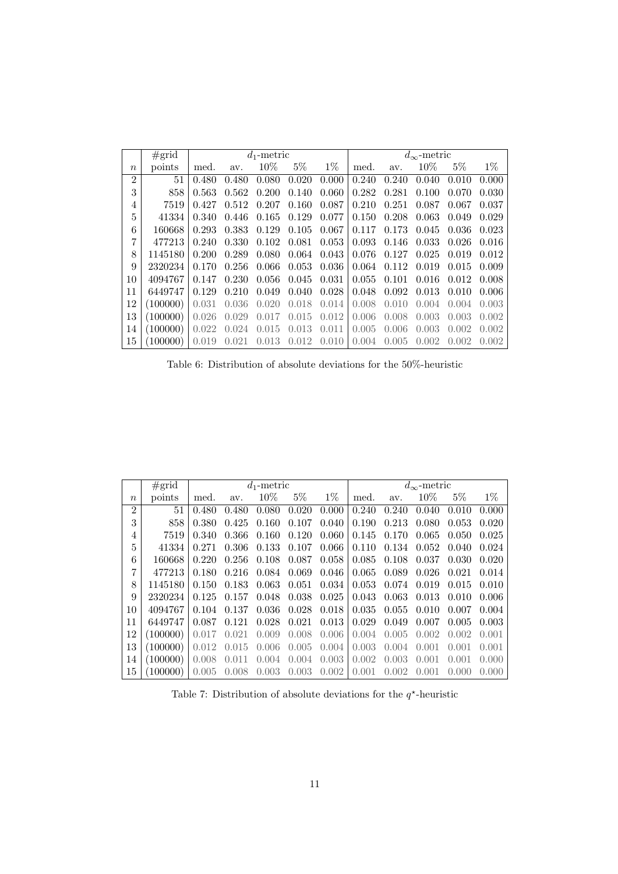|                | $\#grid$ |       |       | $d_1$ -metric |       |       |         |       | $d_{\infty}$ -metric |         |       |
|----------------|----------|-------|-------|---------------|-------|-------|---------|-------|----------------------|---------|-------|
| $\it n$        | points   | med.  | av.   | 10%           | $5\%$ | $1\%$ | med.    | av.   | 10%                  | $5\%$   | $1\%$ |
| $\overline{2}$ | 51       | 0.480 | 0.480 | 0.080         | 0.020 | 0.000 | 0.240   | 0.240 | 0.040                | 0.010   | 0.000 |
| 3              | 858      | 0.563 | 0.562 | 0.200         | 0.140 | 0.060 | 0.282   | 0.281 | 0.100                | 0.070   | 0.030 |
| 4              | 7519     | 0.427 | 0.512 | 0.207         | 0.160 | 0.087 | 0.210   | 0.251 | 0.087                | 0.067   | 0.037 |
| 5              | 41334    | 0.340 | 0.446 | 0.165         | 0.129 | 0.077 | 0.150   | 0.208 | 0.063                | 0.049   | 0.029 |
| 6              | 160668   | 0.293 | 0.383 | 0.129         | 0.105 | 0.067 | 0.117   | 0.173 | 0.045                | 0.036   | 0.023 |
| 7              | 477213   | 0.240 | 0.330 | 0.102         | 0.081 | 0.053 | 0.093   | 0.146 | 0.033                | 0.026   | 0.016 |
| 8              | 1145180  | 0.200 | 0.289 | 0.080         | 0.064 | 0.043 | 0.076   | 0.127 | 0.025                | 0.019   | 0.012 |
| 9              | 2320234  | 0.170 | 0.256 | 0.066         | 0.053 | 0.036 | 0.064   | 0.112 | 0.019                | 0.015   | 0.009 |
| 10             | 4094767  | 0.147 | 0.230 | 0.056         | 0.045 | 0.031 | 0.055   | 0.101 | 0.016                | 0.012   | 0.008 |
| 11             | 6449747  | 0.129 | 0.210 | 0.049         | 0.040 | 0.028 | 0.048   | 0.092 | 0.013                | 0.010   | 0.006 |
| 12             | (100000) | 0.031 | 0.036 | 0.020         | 0.018 | 0.014 | 0.008   | 0.010 | (0.004)              | (0.004) | 0.003 |
| 13             | (100000) | 0.026 | 0.029 | 0.017         | 0.015 | 0.012 | 0.006   | 0.008 | 0.003                | 0.003   | 0.002 |
| 14             | (100000) | 0.022 | 0.024 | 0.015         | 0.013 | 0.011 | 0.005   | 0.006 | 0.003                | 0.002   | 0.002 |
| 15             | 100000   | 0.019 | 0.021 | 0.013         | 0.012 | 0.010 | (0.004) | 0.005 | 0.002                | 0.002   | 0.002 |

Table 6: Distribution of absolute deviations for the 50%-heuristic

|                | #grid    |         |       | $d_1$ -metric |       |       |       |         | $d_{\infty}$ -metric |           |       |
|----------------|----------|---------|-------|---------------|-------|-------|-------|---------|----------------------|-----------|-------|
| $\it{n}$       | points   | med.    | av.   | $10\%$        | $5\%$ | $1\%$ | med.  | av.     | $10\%$               | $5\%$     | $1\%$ |
| $\overline{2}$ | 51       | 0.480   | 0.480 | 0.080         | 0.020 | 0.000 | 0.240 | 0.240   | 0.040                | 0.010     | 0.000 |
| 3              | 858      | 0.380   | 0.425 | 0.160         | 0.107 | 0.040 | 0.190 | 0.213   | 0.080                | 0.053     | 0.020 |
| 4              | 7519     | 0.340   | 0.366 | 0.160         | 0.120 | 0.060 | 0.145 | 0.170   | 0.065                | 0.050     | 0.025 |
| 5              | 41334    | 0.271   | 0.306 | 0.133         | 0.107 | 0.066 | 0.110 | 0.134   | 0.052                | 0.040     | 0.024 |
| 6              | 160668   | 0.220   | 0.256 | 0.108         | 0.087 | 0.058 | 0.085 | 0.108   | 0.037                | 0.030     | 0.020 |
| 7              | 477213   | 0.180   | 0.216 | 0.084         | 0.069 | 0.046 | 0.065 | 0.089   | 0.026                | 0.021     | 0.014 |
| 8              | 1145180  | 0.150   | 0.183 | 0.063         | 0.051 | 0.034 | 0.053 | 0.074   | 0.019                | 0.015     | 0.010 |
| 9              | 2320234  | 0.125   | 0.157 | 0.048         | 0.038 | 0.025 | 0.043 | 0.063   | 0.013                | 0.010     | 0.006 |
| 10             | 4094767  | 0.104   | 0.137 | 0.036         | 0.028 | 0.018 | 0.035 | 0.055   | 0.010                | 0.007     | 0.004 |
| 11             | 6449747  | 0.087   | 0.121 | 0.028         | 0.021 | 0.013 | 0.029 | 0.049   | 0.007                | 0.005     | 0.003 |
| 12             | (100000) | 0.017   | 0.021 | 0.009         | 0.008 | 0.006 | 0.004 | 0.005   | 0.002                | 0.002     | 0.001 |
| 13             | (100000) | 0.012   | 0.015 | 0.006         | 0.005 | 0.004 | 0.003 | (0.004) | 0.001                | 0.001     | 0.001 |
| 14             | (100000) | 0.008   | 0.011 | 0.004         | 0.004 | 0.003 | 0.002 | 0.003   | (0.001)              | 0.001     | 0.000 |
| 15             | 100000   | (0.005) | 0.008 | 0.003         | 0.003 | 0.002 | 0.001 | 0.002   | (0.001)              | (1)(1)(1) | 0.000 |

Table 7: Distribution of absolute deviations for the  $q^*$ -heuristic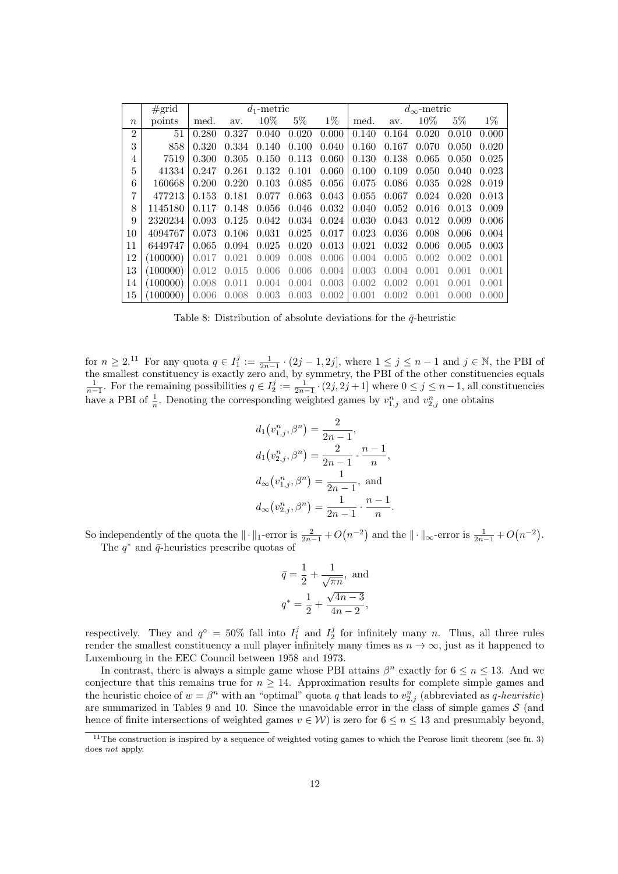|                | #grid    |       |       | $d_1$ -metric |       |       |       |       | $d_{\infty}$ -metric |       |       |
|----------------|----------|-------|-------|---------------|-------|-------|-------|-------|----------------------|-------|-------|
| $\it n$        | points   | med.  | av.   | 10%           | $5\%$ | $1\%$ | med.  | av.   | 10%                  | $5\%$ | $1\%$ |
| $\overline{2}$ | 51       | 0.280 | 0.327 | 0.040         | 0.020 | 0.000 | 0.140 | 0.164 | 0.020                | 0.010 | 0.000 |
| 3              | 858      | 0.320 | 0.334 | 0.140         | 0.100 | 0.040 | 0.160 | 0.167 | 0.070                | 0.050 | 0.020 |
| 4              | 7519     | 0.300 | 0.305 | 0.150         | 0.113 | 0.060 | 0.130 | 0.138 | 0.065                | 0.050 | 0.025 |
| 5              | 41334    | 0.247 | 0.261 | 0.132         | 0.101 | 0.060 | 0.100 | 0.109 | 0.050                | 0.040 | 0.023 |
| 6              | 160668   | 0.200 | 0.220 | 0.103         | 0.085 | 0.056 | 0.075 | 0.086 | 0.035                | 0.028 | 0.019 |
| 7              | 477213   | 0.153 | 0.181 | 0.077         | 0.063 | 0.043 | 0.055 | 0.067 | 0.024                | 0.020 | 0.013 |
| 8              | 1145180  | 0.117 | 0.148 | 0.056         | 0.046 | 0.032 | 0.040 | 0.052 | 0.016                | 0.013 | 0.009 |
| 9              | 2320234  | 0.093 | 0.125 | 0.042         | 0.034 | 0.024 | 0.030 | 0.043 | 0.012                | 0.009 | 0.006 |
| 10             | 4094767  | 0.073 | 0.106 | 0.031         | 0.025 | 0.017 | 0.023 | 0.036 | 0.008                | 0.006 | 0.004 |
| 11             | 6449747  | 0.065 | 0.094 | 0.025         | 0.020 | 0.013 | 0.021 | 0.032 | 0.006                | 0.005 | 0.003 |
| 12             | (100000) | 0.017 | 0.021 | 0.009         | 0.008 | 0.006 | 0.004 | 0.005 | 0.002                | 0.002 | 0.001 |
| 13             | (100000) | 0.012 | 0.015 | 0.006         | 0.006 | 0.004 | 0.003 | 0.004 | 0.001                | 0.001 | 0.001 |
| 14             | (100000) | 0.008 | 0.011 | 0.004         | 0.004 | 0.003 | 0.002 | 0.002 | 0.001                | 0.001 | 0.001 |
| 15             | (100000) | 0.006 | 0.008 | 0.003         | 0.003 | 0.002 | 0.001 | 0.002 | 0.001                | 0.000 | 0.000 |

Table 8: Distribution of absolute deviations for the  $\bar{q}$ -heuristic

for  $n \geq 2$ .<sup>11</sup> For any quota  $q \in I_1^j := \frac{1}{2n-1} \cdot (2j-1, 2j]$ , where  $1 \leq j \leq n-1$  and  $j \in \mathbb{N}$ , the PBI of the smallest constituency is exactly zero and, by symmetry, the PBI of the other constituencies equals  $\frac{1}{n-1}$ . For the remaining possibilities  $q \in I_2^j := \frac{1}{2n-1} \cdot (2j, 2j+1]$  where  $0 \le j \le n-1$ , all constituencies have a PBI of  $\frac{1}{n}$ . Denoting the corresponding weighted games by  $v_{1,j}^n$  and  $v_{2,j}^n$  one obtains

$$
d_1(v_{1,j}^n, \beta^n) = \frac{2}{2n-1},
$$
  
\n
$$
d_1(v_{2,j}^n, \beta^n) = \frac{2}{2n-1} \cdot \frac{n-1}{n},
$$
  
\n
$$
d_{\infty}(v_{1,j}^n, \beta^n) = \frac{1}{2n-1},
$$
 and  
\n
$$
d_{\infty}(v_{2,j}^n, \beta^n) = \frac{1}{2n-1} \cdot \frac{n-1}{n}.
$$

So independently of the quota the  $\|\cdot\|_1$ -error is  $\frac{2}{2n-1} + O(n^{-2})$  and the  $\|\cdot\|_{\infty}$ -error is  $\frac{1}{2n-1} + O(n^{-2})$ . The  $q^*$  and  $\bar{q}$ -heuristics prescribe quotas of

$$
\bar{q} = \frac{1}{2} + \frac{1}{\sqrt{\pi n}}, \text{ and}
$$
\n
$$
q^* = \frac{1}{2} + \frac{\sqrt{4n - 3}}{4n - 2},
$$

respectively. They and  $q^{\circ} = 50\%$  fall into  $I_1^j$  and  $I_2^j$  for infinitely many n. Thus, all three rules render the smallest constituency a null player infinitely many times as  $n \to \infty$ , just as it happened to Luxembourg in the EEC Council between 1958 and 1973.

In contrast, there is always a simple game whose PBI attains  $\beta^n$  exactly for  $6 \leq n \leq 13$ . And we conjecture that this remains true for  $n \geq 14$ . Approximation results for complete simple games and the heuristic choice of  $w = \beta^n$  with an "optimal" quota q that leads to  $v_{2,j}^n$  (abbreviated as q-heuristic) are summarized in Tables 9 and 10. Since the unavoidable error in the class of simple games  $S$  (and hence of finite intersections of weighted games  $v \in W$ ) is zero for  $6 \le n \le 13$  and presumably beyond,

 $11$ The construction is inspired by a sequence of weighted voting games to which the Penrose limit theorem (see fn. 3) does *not* apply.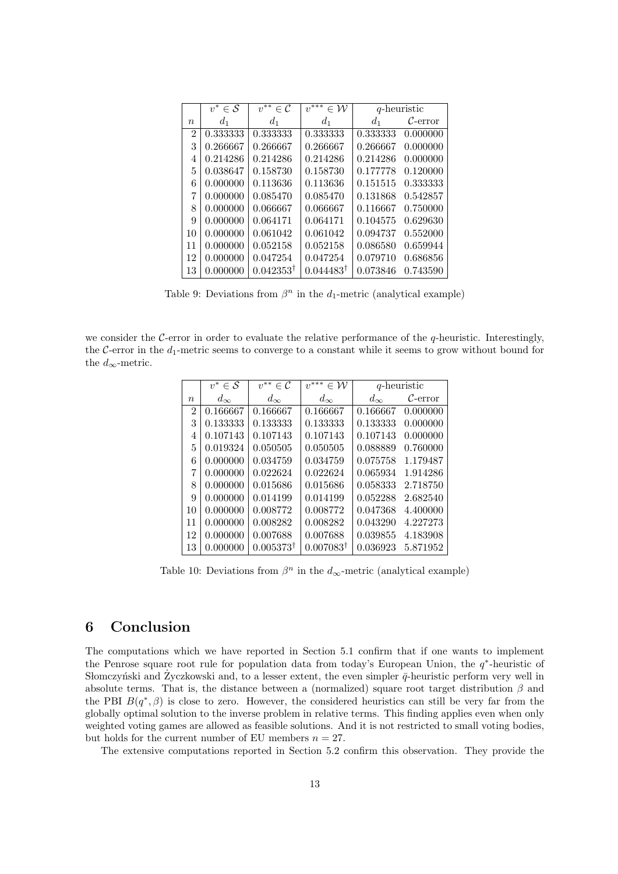|          | $v^*$<br>$\in \mathcal{S}$ | $v^{**}$<br>$\in$ C  | $v^{***}$<br>$\in \mathcal{W}$ |          | q-heuristic          |
|----------|----------------------------|----------------------|--------------------------------|----------|----------------------|
| $\it{n}$ | $d_1$                      | $d_1$                | $d_1$                          | $d_1$    | $\mathcal{C}$ -error |
| 2        | 0.333333                   | 0.333333             | 0.333333                       | 0.333333 | 0.000000             |
| 3        | 0.266667                   | 0.266667             | 0.266667                       | 0.266667 | 0.000000             |
| 4        | 0.214286                   | 0.214286             | 0.214286                       | 0.214286 | 0.000000             |
| 5        | 0.038647                   | 0.158730             | 0.158730                       | 0.177778 | 0.120000             |
| 6        | 0.000000                   | 0.113636             | 0.113636                       | 0.151515 | 0.333333             |
| 7        | 0.000000                   | 0.085470             | 0.085470                       | 0.131868 | 0.542857             |
| 8        | 0.000000                   | 0.066667             | 0.066667                       | 0.116667 | 0.750000             |
| 9        | 0.000000                   | 0.064171             | 0.064171                       | 0.104575 | 0.629630             |
| 10       | 0.000000                   | 0.061042             | 0.061042                       | 0.094737 | 0.552000             |
| 11       | 0.000000                   | 0.052158             | 0.052158                       | 0.086580 | 0.659944             |
| 12       | 0.000000                   | 0.047254             | 0.047254                       | 0.079710 | 0.686856             |
| 13       | 0.000000                   | $0.042353^{\dagger}$ | $0.044483^{\dagger}$           | 0.073846 | 0.743590             |

we consider the C-error in order to evaluate the relative performance of the q-heuristic. Interestingly, the C-error in the  $d_1$ -metric seems to converge to a constant while it seems to grow without bound for the  $d_{\infty}$ -metric.

|                | $v^*$<br>$\in \mathcal{S}$ | $v^{**}$<br>$\in C$  | $v^{***}$<br>$\in \mathcal{W}$ |              | q-heuristic          |
|----------------|----------------------------|----------------------|--------------------------------|--------------|----------------------|
| $\it{n}$       | $d_{\infty}$               | $d_{\infty}$         | $d_{\infty}$                   | $d_{\infty}$ | $\mathcal{C}$ -error |
| $\overline{2}$ | 0.166667                   | 0.166667             | 0.166667                       | 0.166667     | 0.000000             |
| 3              | 0.133333                   | 0.133333             | 0.133333                       | 0.133333     | 0.000000             |
| 4              | 0.107143                   | 0.107143             | 0.107143                       | 0.107143     | 0.000000             |
| 5              | 0.019324                   | 0.050505             | 0.050505                       | 0.088889     | 0.760000             |
| 6              | 0.000000                   | 0.034759             | 0.034759                       | 0.075758     | 1.179487             |
| 7              | 0.000000                   | 0.022624             | 0.022624                       | 0.065934     | 1.914286             |
| 8              | 0.000000                   | 0.015686             | 0.015686                       | 0.058333     | 2.718750             |
| 9              | 0.000000                   | 0.014199             | 0.014199                       | 0.052288     | 2.682540             |
| 10             | 0.000000                   | 0.008772             | 0.008772                       | 0.047368     | 4.400000             |
| 11             | 0.000000                   | 0.008282             | 0.008282                       | 0.043290     | 4.227273             |
| 12             | 0.000000                   | 0.007688             | 0.007688                       | 0.039855     | 4.183908             |
| 13             | 0.000000                   | $0.005373^{\dagger}$ | $0.007083^{\dagger}$           | 0.036923     | 5.871952             |

Table 10: Deviations from  $\beta^n$  in the  $d_{\infty}$ -metric (analytical example)

### 6 Conclusion

The computations which we have reported in Section 5.1 confirm that if one wants to implement the Penrose square root rule for population data from today's European Union, the  $q^*$ -heuristic of Słomczyński and Zyczkowski and, to a lesser extent, the even simpler  $\bar{q}$ -heuristic perform very well in absolute terms. That is, the distance between a (normalized) square root target distribution  $\beta$  and the PBI  $B(q^*,\beta)$  is close to zero. However, the considered heuristics can still be very far from the globally optimal solution to the inverse problem in relative terms. This finding applies even when only weighted voting games are allowed as feasible solutions. And it is not restricted to small voting bodies, but holds for the current number of EU members  $n = 27$ .

The extensive computations reported in Section 5.2 confirm this observation. They provide the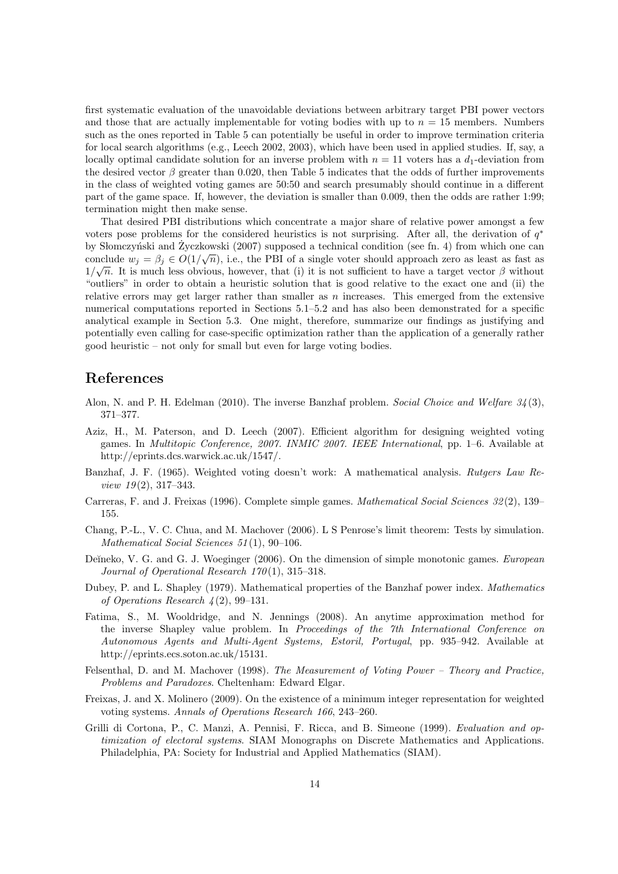first systematic evaluation of the unavoidable deviations between arbitrary target PBI power vectors and those that are actually implementable for voting bodies with up to  $n = 15$  members. Numbers such as the ones reported in Table 5 can potentially be useful in order to improve termination criteria for local search algorithms (e.g., Leech 2002, 2003), which have been used in applied studies. If, say, a locally optimal candidate solution for an inverse problem with  $n = 11$  voters has a  $d_1$ -deviation from the desired vector  $\beta$  greater than 0.020, then Table 5 indicates that the odds of further improvements in the class of weighted voting games are 50:50 and search presumably should continue in a different part of the game space. If, however, the deviation is smaller than 0.009, then the odds are rather 1:99; termination might then make sense.

That desired PBI distributions which concentrate a major share of relative power amongst a few voters pose problems for the considered heuristics is not surprising. After all, the derivation of  $q^*$ by Słomczyński and Życzkowski (2007) supposed a technical condition (see fn. 4) from which one can conclude  $w_j = \beta_j \in O(1/\sqrt{n})$ , i.e., the PBI of a single voter should approach zero as least as fast as  $1/\sqrt{n}$ . It is much less obvious, however, that (i) it is not sufficient to have a target vector  $\beta$  without "outliers" in order to obtain a heuristic solution that is good relative to the exact one and (ii) the relative errors may get larger rather than smaller as  $n$  increases. This emerged from the extensive numerical computations reported in Sections 5.1–5.2 and has also been demonstrated for a specific analytical example in Section 5.3. One might, therefore, summarize our findings as justifying and potentially even calling for case-specific optimization rather than the application of a generally rather good heuristic – not only for small but even for large voting bodies.

# References

- Alon, N. and P. H. Edelman (2010). The inverse Banzhaf problem. Social Choice and Welfare  $3/4(3)$ , 371–377.
- Aziz, H., M. Paterson, and D. Leech (2007). Efficient algorithm for designing weighted voting games. In *Multitopic Conference, 2007. INMIC 2007. IEEE International*, pp. 1–6. Available at http://eprints.dcs.warwick.ac.uk/1547/.
- Banzhaf, J. F. (1965). Weighted voting doesn't work: A mathematical analysis. Rutgers Law Re*view 19* $(2)$ , 317–343.
- Carreras, F. and J. Freixas (1996). Complete simple games. *Mathematical Social Sciences 32*(2), 139– 155.
- Chang, P.-L., V. C. Chua, and M. Machover (2006). L S Penrose's limit theorem: Tests by simulation. Mathematical Social Sciences 51(1), 90-106.
- Deĭneko, V. G. and G. J. Woeginger (2006). On the dimension of simple monotonic games. European Journal of Operational Research  $170(1)$ ,  $315-318$ .
- Dubey, P. and L. Shapley (1979). Mathematical properties of the Banzhaf power index. Mathematics of Operations Research  $\frac{1}{4}(2), 99-131$ .
- Fatima, S., M. Wooldridge, and N. Jennings (2008). An anytime approximation method for the inverse Shapley value problem. In Proceedings of the 7th International Conference on Autonomous Agents and Multi-Agent Systems, Estoril, Portugal, pp. 935–942. Available at http://eprints.ecs.soton.ac.uk/15131.
- Felsenthal, D. and M. Machover (1998). The Measurement of Voting Power Theory and Practice, Problems and Paradoxes. Cheltenham: Edward Elgar.
- Freixas, J. and X. Molinero (2009). On the existence of a minimum integer representation for weighted voting systems. Annals of Operations Research 166, 243–260.
- Grilli di Cortona, P., C. Manzi, A. Pennisi, F. Ricca, and B. Simeone (1999). Evaluation and optimization of electoral systems. SIAM Monographs on Discrete Mathematics and Applications. Philadelphia, PA: Society for Industrial and Applied Mathematics (SIAM).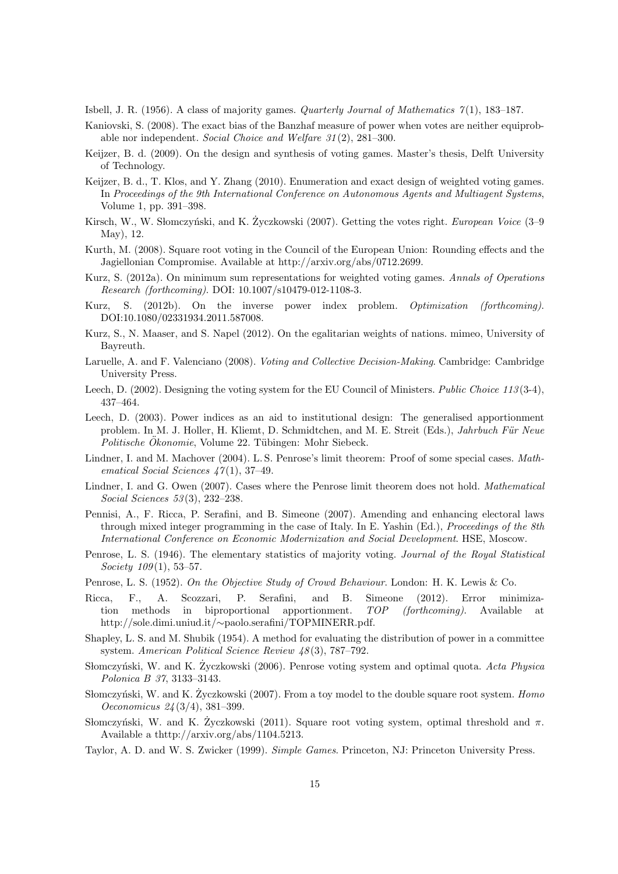Isbell, J. R. (1956). A class of majority games. *Quarterly Journal of Mathematics*  $\gamma(1)$ , 183–187.

- Kaniovski, S. (2008). The exact bias of the Banzhaf measure of power when votes are neither equiprobable nor independent. Social Choice and Welfare 31 (2), 281–300.
- Keijzer, B. d. (2009). On the design and synthesis of voting games. Master's thesis, Delft University of Technology.
- Keijzer, B. d., T. Klos, and Y. Zhang (2010). Enumeration and exact design of weighted voting games. In Proceedings of the 9th International Conference on Autonomous Agents and Multiagent Systems, Volume 1, pp. 391–398.
- Kirsch, W., W. Słomczyński, and K. Życzkowski (2007). Getting the votes right. *European Voice* (3–9 May), 12.
- Kurth, M. (2008). Square root voting in the Council of the European Union: Rounding effects and the Jagiellonian Compromise. Available at http://arxiv.org/abs/0712.2699.
- Kurz, S. (2012a). On minimum sum representations for weighted voting games. Annals of Operations Research (forthcoming). DOI: 10.1007/s10479-012-1108-3.
- Kurz, S. (2012b). On the inverse power index problem. Optimization (forthcoming). DOI:10.1080/02331934.2011.587008.
- Kurz, S., N. Maaser, and S. Napel (2012). On the egalitarian weights of nations. mimeo, University of Bayreuth.
- Laruelle, A. and F. Valenciano (2008). Voting and Collective Decision-Making. Cambridge: Cambridge University Press.
- Leech, D. (2002). Designing the voting system for the EU Council of Ministers. Public Choice 113 (3-4), 437–464.
- Leech, D. (2003). Power indices as an aid to institutional design: The generalised apportionment problem. In M. J. Holler, H. Kliemt, D. Schmidtchen, and M. E. Streit (Eds.), Jahrbuch Für Neue  $Politische Ökonomie, Volume 22. Tübingen: Mohr Siebeck.$
- Lindner, I. and M. Machover (2004). L. S. Penrose's limit theorem: Proof of some special cases. Mathematical Social Sciences  $47(1), 37-49.$
- Lindner, I. and G. Owen (2007). Cases where the Penrose limit theorem does not hold. Mathematical Social Sciences 53(3), 232-238.
- Pennisi, A., F. Ricca, P. Serafini, and B. Simeone (2007). Amending and enhancing electoral laws through mixed integer programming in the case of Italy. In E. Yashin (Ed.), *Proceedings of the 8th* International Conference on Economic Modernization and Social Development. HSE, Moscow.
- Penrose, L. S. (1946). The elementary statistics of majority voting. Journal of the Royal Statistical Society  $109(1)$ , 53-57.
- Penrose, L. S. (1952). On the Objective Study of Crowd Behaviour. London: H. K. Lewis & Co.
- Ricca, F., A. Scozzari, P. Serafini, and B. Simeone (2012). Error minimization methods in biproportional apportionment. TOP (forthcoming). Available at http://sole.dimi.uniud.it/∼paolo.serafini/TOPMINERR.pdf.
- Shapley, L. S. and M. Shubik (1954). A method for evaluating the distribution of power in a committee system. American Political Science Review  $\mu$ 8(3), 787–792.
- Słomczyński, W. and K. Zyczkowski (2006). Penrose voting system and optimal quota. Acta Physica Polonica B 37, 3133–3143.
- Słomczyński, W. and K. Zyczkowski (2007). From a toy model to the double square root system. *Homo* Oeconomicus 24 (3/4), 381–399.
- Sbomczyński, W. and K. Zyczkowski (2011). Square root voting system, optimal threshold and  $\pi$ . Available a thttp://arxiv.org/abs/1104.5213.
- Taylor, A. D. and W. S. Zwicker (1999). Simple Games. Princeton, NJ: Princeton University Press.